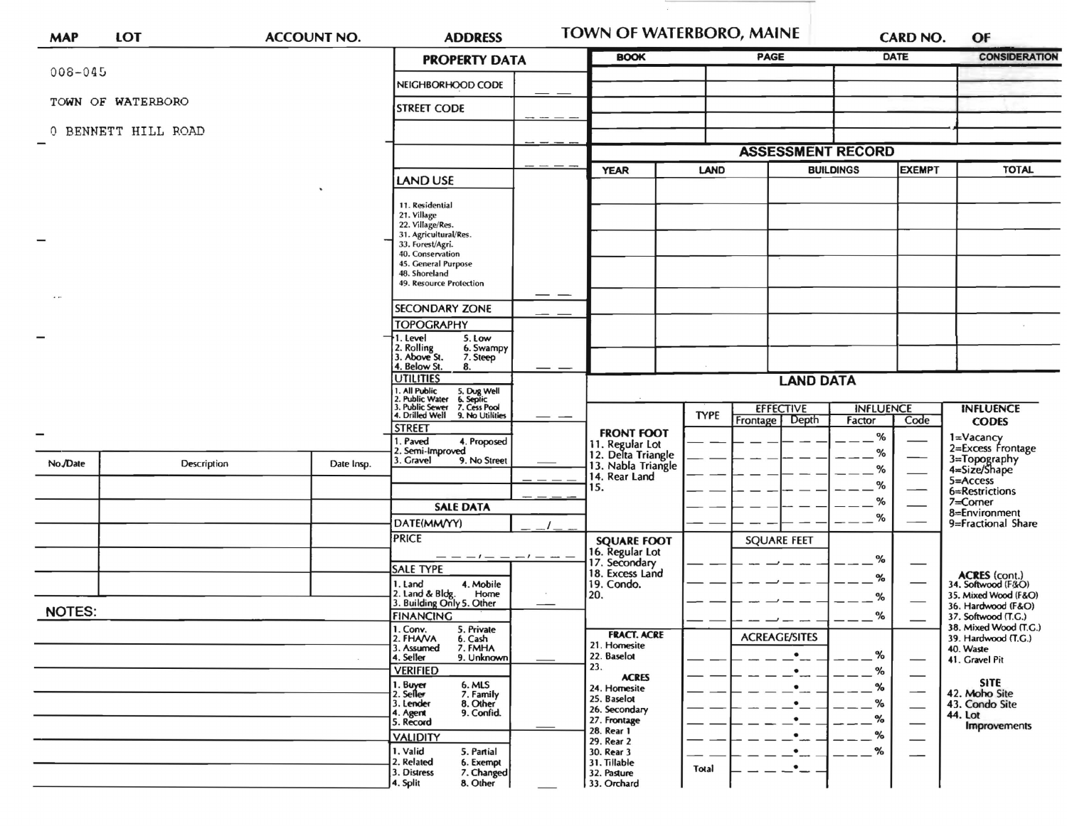| <b>MAP</b>    | <b>LOT</b>          | <b>ACCOUNT NO.</b> | <b>ADDRESS</b>                                                                                                                                                                                                                                                                                                                                                                                                                                                                   |  | TOWN OF WATERBORO, MAINE                                                                                                                                                                                                         |             |                                        | <b>CARD NO.</b>                      | OF                                                              |                                                                                                                                                                 |
|---------------|---------------------|--------------------|----------------------------------------------------------------------------------------------------------------------------------------------------------------------------------------------------------------------------------------------------------------------------------------------------------------------------------------------------------------------------------------------------------------------------------------------------------------------------------|--|----------------------------------------------------------------------------------------------------------------------------------------------------------------------------------------------------------------------------------|-------------|----------------------------------------|--------------------------------------|-----------------------------------------------------------------|-----------------------------------------------------------------------------------------------------------------------------------------------------------------|
|               |                     |                    | <b>PROPERTY DATA</b>                                                                                                                                                                                                                                                                                                                                                                                                                                                             |  | <b>BOOK</b>                                                                                                                                                                                                                      |             | PAGE                                   | DATE                                 |                                                                 | <b>CONSIDERATION</b>                                                                                                                                            |
| $008 - 045$   |                     |                    | NEIGHBORHOOD CODE                                                                                                                                                                                                                                                                                                                                                                                                                                                                |  |                                                                                                                                                                                                                                  |             |                                        |                                      |                                                                 |                                                                                                                                                                 |
|               | TOWN OF WATERBORO   |                    | <b>STREET CODE</b>                                                                                                                                                                                                                                                                                                                                                                                                                                                               |  |                                                                                                                                                                                                                                  |             |                                        |                                      |                                                                 |                                                                                                                                                                 |
|               | 0 BENNETT HILL ROAD |                    |                                                                                                                                                                                                                                                                                                                                                                                                                                                                                  |  |                                                                                                                                                                                                                                  |             |                                        |                                      |                                                                 |                                                                                                                                                                 |
|               |                     |                    |                                                                                                                                                                                                                                                                                                                                                                                                                                                                                  |  | <b>ASSESSMENT RECORD</b>                                                                                                                                                                                                         |             |                                        |                                      |                                                                 |                                                                                                                                                                 |
|               |                     |                    | LAND USE                                                                                                                                                                                                                                                                                                                                                                                                                                                                         |  | <b>YEAR</b>                                                                                                                                                                                                                      | <b>LAND</b> | <b>BUILDINGS</b>                       |                                      | <b>EXEMPT</b>                                                   | <b>TOTAL</b>                                                                                                                                                    |
|               |                     |                    | 11. Residential<br>21. Village<br>22. Village/Res.<br>31. Agricultural/Res.<br>33. Forest/Agri.<br>40. Conservation<br>45. General Purpose<br>48. Shoreland<br>49. Resource Protection<br><b>SECONDARY ZONE</b><br><b>TOPOGRAPHY</b><br>5. Low<br>. Level<br>2. Rolling<br>3. Above St.<br>6. Swampy<br>7. Steep<br>4. Below St.<br>8.<br><b>UTILITIES</b><br>1. All Public<br>2. Public Water<br>3. Public Sewer<br>4. Drilled Well<br>5. Dug Well<br>6. Septic<br>7. Cess Pool |  |                                                                                                                                                                                                                                  |             | <b>EFFECTIVE</b>                       | <b>LAND DATA</b><br><b>INFLUENCE</b> |                                                                 | <b>INFLUENCE</b>                                                                                                                                                |
|               |                     |                    | 9. No Utilities<br><b>STREET</b>                                                                                                                                                                                                                                                                                                                                                                                                                                                 |  | <b>FRONT FOOT</b>                                                                                                                                                                                                                | <b>TYPE</b> | Depth<br>Frontage                      | Factor                               | Code                                                            | <b>CODES</b>                                                                                                                                                    |
| No./Date      | Description         | Date Insp.         | 1. Paved<br>4. Proposed<br>2. Semi-Improved<br>3. Gravel<br>9. No Street<br><b>SALE DATA</b><br>DATE(MM/YY)                                                                                                                                                                                                                                                                                                                                                                      |  | 11. Regular Lot<br>12. Delta Triangle<br>13. Nabla Triangle<br>14. Rear Land<br>15.                                                                                                                                              |             |                                        | %<br>%<br>%<br>%<br>℅<br>%           |                                                                 | 1=Vacancy<br>2=Excess Frontage<br>3=Topography<br>4=Size/Shape<br>$5 =$ Access<br>6=Restrictions<br>7=Corner<br>8=Environment<br>9=Fractional Share             |
|               |                     |                    | <b>PRICE</b><br><b>SALE TYPE</b><br>I. Land<br>4. Mobile<br>Home                                                                                                                                                                                                                                                                                                                                                                                                                 |  | <b>SQUARE FOOT</b><br>16. Regular Lot<br>17. Secondary<br>18. Excess Land<br>19. Condo.<br>20.                                                                                                                                   |             | <b>SQUARE FEET</b>                     | %<br>%                               |                                                                 | <b>ACRES</b> (cont.)<br>34. Softwood (F&O)<br>35. Mixed Wood (F&O)                                                                                              |
| <b>NOTES:</b> |                     |                    | 2. Land & Bldg. Home<br>3. Building Only 5. Other<br><b>FINANCING</b>                                                                                                                                                                                                                                                                                                                                                                                                            |  |                                                                                                                                                                                                                                  |             |                                        | %<br>℅                               |                                                                 | 36. Hardwood (F&O)<br>37. Softwood (T.G.)                                                                                                                       |
|               |                     |                    | 1. Conv.<br>5. Private<br>2. FHAVA<br>6. Cash<br>3. Assumed<br>7. FMHA<br>4. Seller<br>9. Unknown<br><b>VERIFIED</b><br>1. Buyer<br>2. Seller<br>6. MLS<br>7. Family<br>3. Lender<br>8. Other<br>9. Confid.<br>4. Agent<br>5. Record<br><b>VALIDITY</b><br>1. Valid<br>5. Partial<br>2. Related<br>6. Exempt<br>3. Distress<br>7. Changed<br>4. Split<br>8. Other                                                                                                                |  | <b>FRACT. ACRE</b><br>21. Homesite<br>22. Baselot<br>23.<br><b>ACRES</b><br>24. Homesite<br>25. Baselot<br>26. Secondary<br>27. Frontage<br>28. Rear 1<br>29. Rear 2<br>30. Rear 3<br>31. Tillable<br>32. Pasture<br>33. Orchard | Total       | <b>ACREAGE/SITES</b><br>$\bullet$ $\_$ | %<br>%<br>%<br>%<br>%<br>%<br>%      | $\overbrace{\phantom{13333}}$<br>$\overline{\phantom{0}}$<br>-- | 38. Mixed Wood (T.G.)<br>39. Hardwood (T.G.)<br>40. Waste<br>41. Gravel Pit<br><b>SITE</b><br>42. Moho Site<br>43. Condo Site<br>44. Lot<br><b>Improvements</b> |